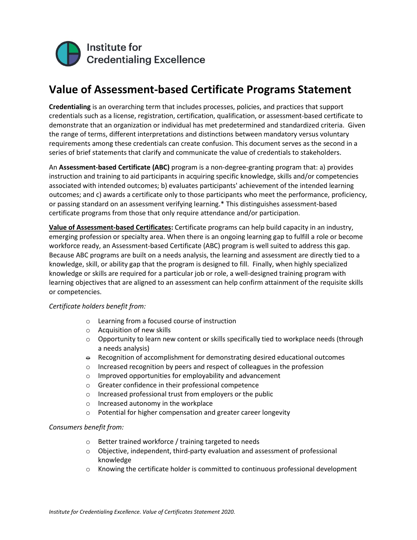

## **Value of Assessment-based Certificate Programs Statement**

**Credentialing** is an overarching term that includes processes, policies, and practices that support credentials such as a license, registration, certification, qualification, or assessment-based certificate to demonstrate that an organization or individual has met predetermined and standardized criteria. Given the range of terms, different interpretations and distinctions between mandatory versus voluntary requirements among these credentials can create confusion. This document serves as the second in a series of brief statements that clarify and communicate the value of credentials to stakeholders.

An **Assessment-based Certificate (ABC)** program is a non-degree-granting program that: a) provides instruction and training to aid participants in acquiring specific knowledge, skills and/or competencies associated with intended outcomes; b) evaluates participants' achievement of the intended learning outcomes; and c) awards a certificate only to those participants who meet the performance, proficiency, or passing standard on an assessment verifying learning.\* This distinguishes assessment-based certificate programs from those that only require attendance and/or participation.

**Value of Assessment-based Certificates:** Certificate programs can help build capacity in an industry, emerging profession or specialty area. When there is an ongoing learning gap to fulfill a role or become workforce ready, an Assessment-based Certificate (ABC) program is well suited to address this gap. Because ABC programs are built on a needs analysis, the learning and assessment are directly tied to a knowledge, skill, or ability gap that the program is designed to fill. Finally, when highly specialized knowledge or skills are required for a particular job or role, a well-designed training program with learning objectives that are aligned to an assessment can help confirm attainment of the requisite skills or competencies.

## *Certificate holders benefit from:*

- o Learning from a focused course of instruction
- o Acquisition of new skills
- o Opportunity to learn new content or skills specifically tied to workplace needs (through a needs analysis)
- $\theta$  Recognition of accomplishment for demonstrating desired educational outcomes
- o Increased recognition by peers and respect of colleagues in the profession
- o Improved opportunities for employability and advancement
- o Greater confidence in their professional competence
- o Increased professional trust from employers or the public
- o Increased autonomy in the workplace
- o Potential for higher compensation and greater career longevity

## *Consumers benefit from:*

- o Better trained workforce / training targeted to needs
- $\circ$  Objective, independent, third-party evaluation and assessment of professional knowledge
- o Knowing the certificate holder is committed to continuous professional development